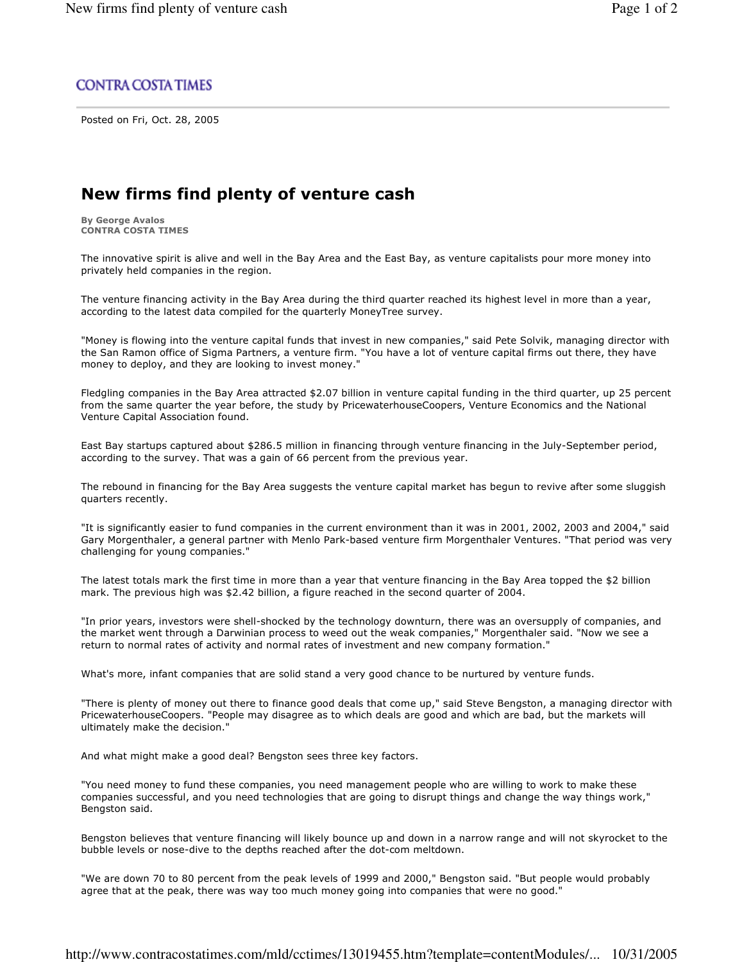## **CONTRA COSTA TIMES**

Posted on Fri, Oct. 28, 2005

## New firms find plenty of venture cash

**By George Avalos CONTRA COSTA TIMES** 

The innovative spirit is alive and well in the Bay Area and the East Bay, as venture capitalists pour more money into privately held companies in the region.

The venture financing activity in the Bay Area during the third quarter reached its highest level in more than a year, according to the latest data compiled for the quarterly MoneyTree survey.

"Money is flowing into the venture capital funds that invest in new companies," said Pete Solvik, managing director with the San Ramon office of Sigma Partners, a venture firm. "You have a lot of venture capital firms out there, they have money to deploy, and they are looking to invest money."

Fledgling companies in the Bay Area attracted \$2.07 billion in venture capital funding in the third quarter, up 25 percent from the same quarter the year before, the study by PricewaterhouseCoopers, Venture Economics and the National Venture Capital Association found.

East Bay startups captured about \$286.5 million in financing through venture financing in the July-September period, according to the survey. That was a gain of 66 percent from the previous year.

The rebound in financing for the Bay Area suggests the venture capital market has begun to revive after some sluggish quarters recently.

"It is significantly easier to fund companies in the current environment than it was in 2001, 2002, 2003 and 2004," said Gary Morgenthaler, a general partner with Menlo Park-based venture firm Morgenthaler Ventures. "That period was very challenging for young companies."

The latest totals mark the first time in more than a year that venture financing in the Bay Area topped the \$2 billion mark. The previous high was \$2.42 billion, a figure reached in the second quarter of 2004.

"In prior years, investors were shell-shocked by the technology downturn, there was an oversupply of companies, and the market went through a Darwinian process to weed out the weak companies," Morgenthaler said. "Now we see a return to normal rates of activity and normal rates of investment and new company formation."

What's more, infant companies that are solid stand a very good chance to be nurtured by venture funds.

"There is plenty of money out there to finance good deals that come up," said Steve Bengston, a managing director with PricewaterhouseCoopers. "People may disagree as to which deals are good and which are bad, but the markets will ultimately make the decision."

And what might make a good deal? Bengston sees three key factors.

"You need money to fund these companies, you need management people who are willing to work to make these companies successful, and you need technologies that are going to disrupt things and change the way things work," Bengston said.

Bengston believes that venture financing will likely bounce up and down in a narrow range and will not skyrocket to the bubble levels or nose-dive to the depths reached after the dot-com meltdown.

"We are down 70 to 80 percent from the peak levels of 1999 and 2000," Bengston said. "But people would probably agree that at the peak, there was way too much money going into companies that were no good."